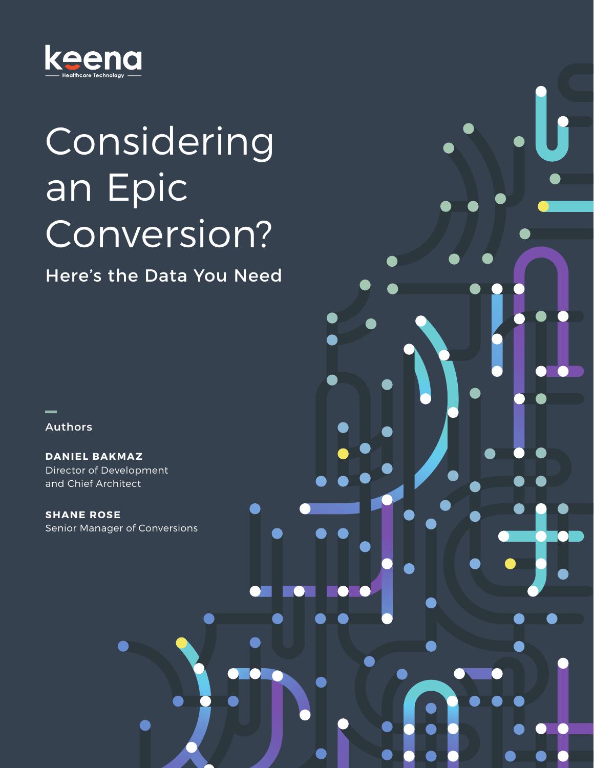

# Considering an Epic Conversion?

### Here's the Data You Need

— **Authors**

**DANIEL BAKMAZ** Director of Development and Chief Architect

**SHANE ROSE** Senior Manager of Conversions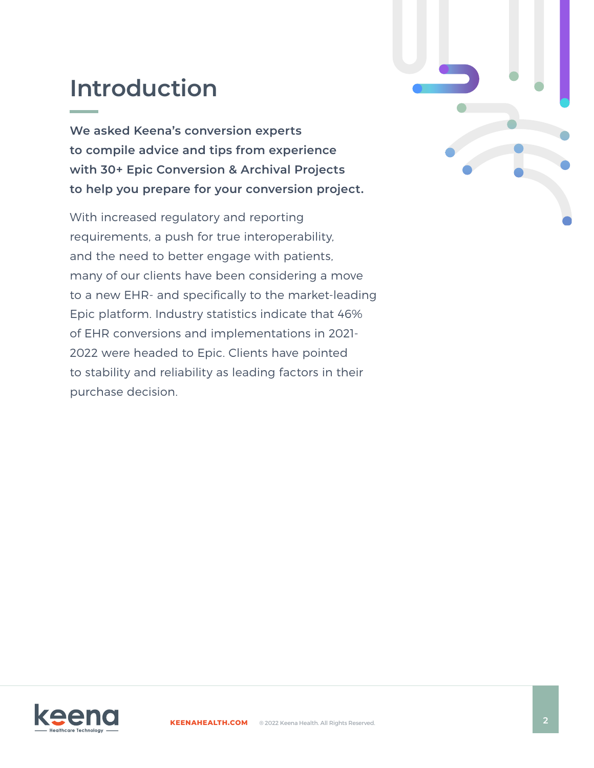# **Introduction**

**We asked Keena's conversion experts to compile advice and tips from experience with 30+ Epic Conversion & Archival Projects to help you prepare for your conversion project.** 

With increased regulatory and reporting requirements, a push for true interoperability, and the need to better engage with patients, many of our clients have been considering a move to a new EHR- and specifically to the market-leading Epic platform. Industry statistics indicate that 46% of EHR conversions and implementations in 2021- 2022 were headed to Epic. Clients have pointed to stability and reliability as leading factors in their purchase decision.



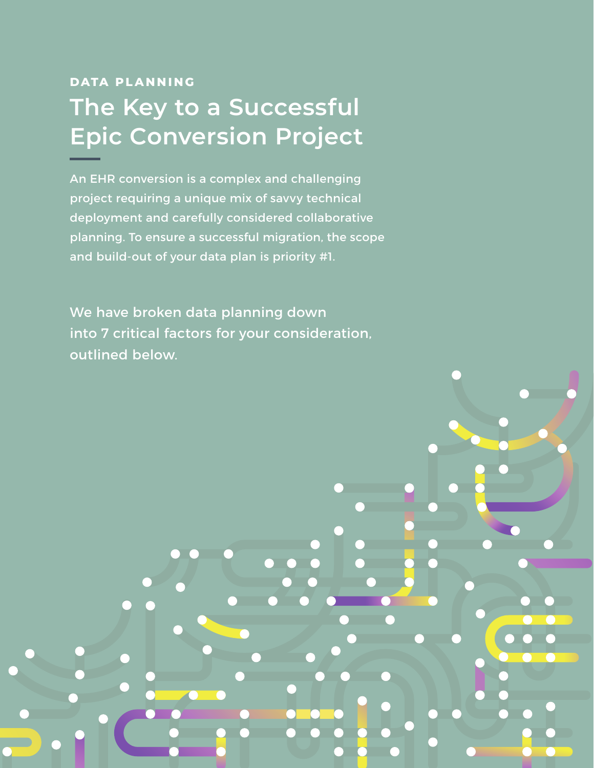# **DATA PLANNING The Key to a Successful Epic Conversion Project**

An EHR conversion is a complex and challenging project requiring a unique mix of savvy technical deployment and carefully considered collaborative planning. To ensure a successful migration, the scope and build-out of your data plan is priority #1.

We have broken data planning down into 7 critical factors for your consideration, outlined below.

**[KEENAHEALTH.COM](https://keenahealth.com)** ® 2022 Keena Health. All Rights Reserved. **3**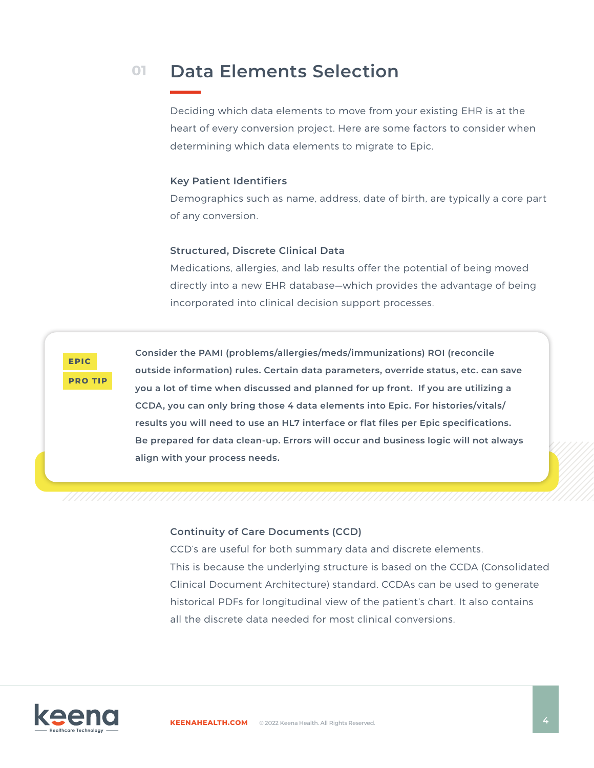#### **Data Elements Selection 01**

Deciding which data elements to move from your existing EHR is at the heart of every conversion project. Here are some factors to consider when determining which data elements to migrate to Epic.

#### **Key Patient Identifiers**

Demographics such as name, address, date of birth, are typically a core part of any conversion.

#### **Structured, Discrete Clinical Data**

Medications, allergies, and lab results offer the potential of being moved directly into a new EHR database—which provides the advantage of being incorporated into clinical decision support processes.



**Consider the PAMI (problems/allergies/meds/immunizations) ROI (reconcile outside information) rules. Certain data parameters, override status, etc. can save you a lot of time when discussed and planned for up front. If you are utilizing a CCDA, you can only bring those 4 data elements into Epic. For histories/vitals/ results you will need to use an HL7 interface or flat files per Epic specifications. Be prepared for data clean-up. Errors will occur and business logic will not always align with your process needs.** 

#### **Continuity of Care Documents (CCD)**

CCD's are useful for both summary data and discrete elements. This is because the underlying structure is based on the CCDA (Consolidated Clinical Document Architecture) standard. CCDAs can be used to generate historical PDFs for longitudinal view of the patient's chart. It also contains all the discrete data needed for most clinical conversions.

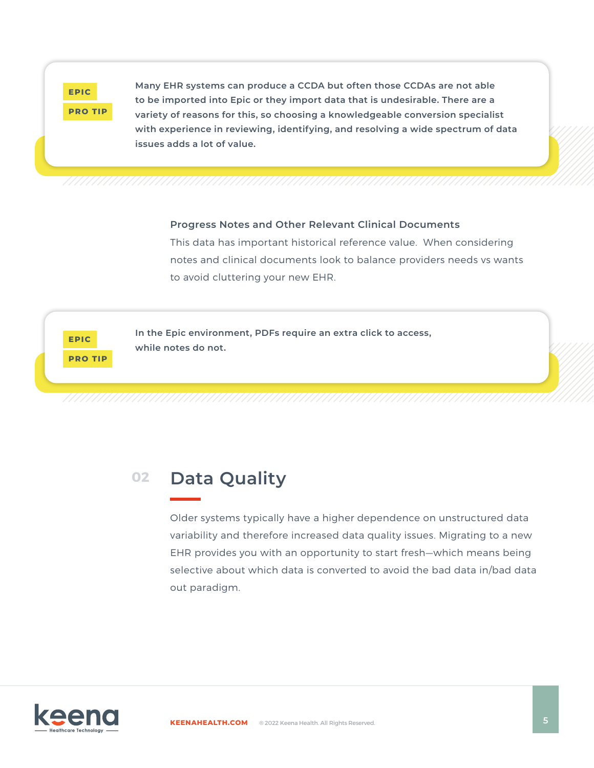

**Many EHR systems can produce a CCDA but often those CCDAs are not able to be imported into Epic or they import data that is undesirable. There are a variety of reasons for this, so choosing a knowledgeable conversion specialist with experience in reviewing, identifying, and resolving a wide spectrum of data issues adds a lot of value.**

#### **Progress Notes and Other Relevant Clinical Documents**

This data has important historical reference value. When considering notes and clinical documents look to balance providers needs vs wants to avoid cluttering your new EHR.

**EPIC PRO TIP** **In the Epic environment, PDFs require an extra click to access, while notes do not.**

#### **Data Quality 02**

Older systems typically have a higher dependence on unstructured data variability and therefore increased data quality issues. Migrating to a new EHR provides you with an opportunity to start fresh—which means being selective about which data is converted to avoid the bad data in/bad data out paradigm.

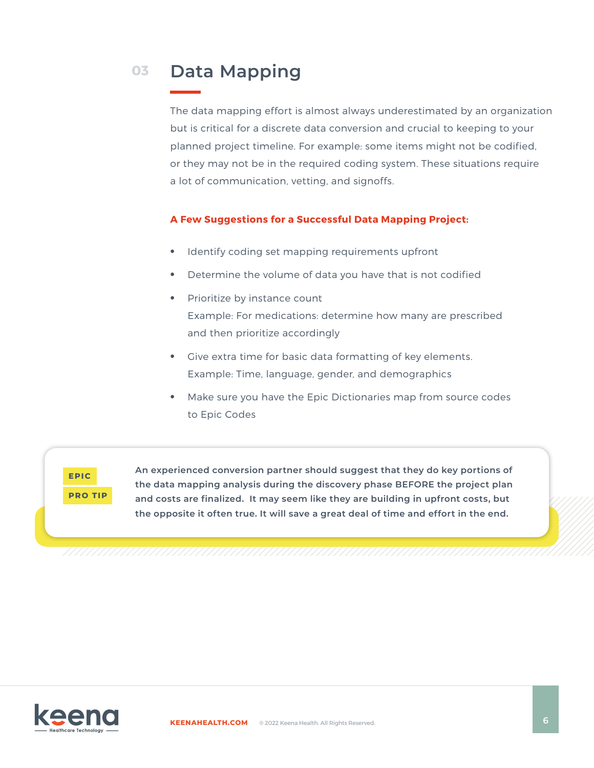#### **Data Mapping 03**

The data mapping effort is almost always underestimated by an organization but is critical for a discrete data conversion and crucial to keeping to your planned project timeline. For example: some items might not be codified, or they may not be in the required coding system. These situations require a lot of communication, vetting, and signoffs.

#### **A Few Suggestions for a Successful Data Mapping Project:**

- **•** Identify coding set mapping requirements upfront
- **•** Determine the volume of data you have that is not codified
- **•** Prioritize by instance count Example: For medications: determine how many are prescribed and then prioritize accordingly
- **•** Give extra time for basic data formatting of key elements. Example: Time, language, gender, and demographics
- **•** Make sure you have the Epic Dictionaries map from source codes to Epic Codes



**An experienced conversion partner should suggest that they do key portions of the data mapping analysis during the discovery phase BEFORE the project plan and costs are finalized. It may seem like they are building in upfront costs, but the opposite it often true. It will save a great deal of time and effort in the end.** 

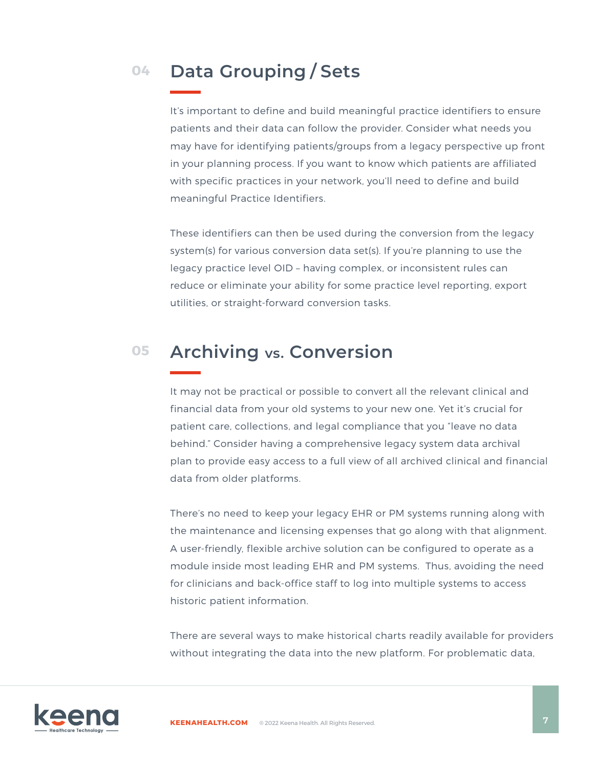#### **Data Grouping / Sets 04**

It's important to define and build meaningful practice identifiers to ensure patients and their data can follow the provider. Consider what needs you may have for identifying patients/groups from a legacy perspective up front in your planning process. If you want to know which patients are affiliated with specific practices in your network, you'll need to define and build meaningful Practice Identifiers.

These identifiers can then be used during the conversion from the legacy system(s) for various conversion data set(s). If you're planning to use the legacy practice level OID – having complex, or inconsistent rules can reduce or eliminate your ability for some practice level reporting, export utilities, or straight-forward conversion tasks.

#### **Archiving vs. Conversion 05**

It may not be practical or possible to convert all the relevant clinical and financial data from your old systems to your new one. Yet it's crucial for patient care, collections, and legal compliance that you "leave no data behind." Consider having a comprehensive legacy system data archival plan to provide easy access to a full view of all archived clinical and financial data from older platforms.

There's no need to keep your legacy EHR or PM systems running along with the maintenance and licensing expenses that go along with that alignment. A user-friendly, flexible archive solution can be configured to operate as a module inside most leading EHR and PM systems. Thus, avoiding the need for clinicians and back-office staff to log into multiple systems to access historic patient information.

There are several ways to make historical charts readily available for providers without integrating the data into the new platform. For problematic data,

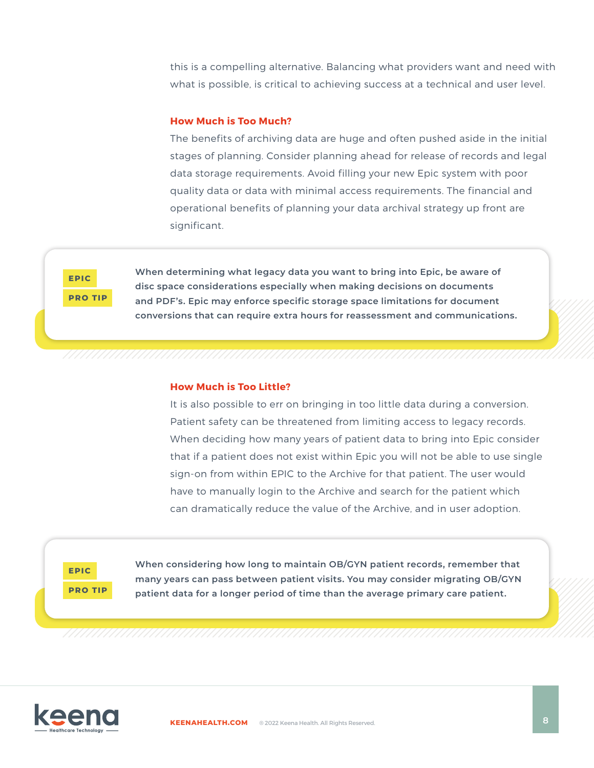this is a compelling alternative. Balancing what providers want and need with what is possible, is critical to achieving success at a technical and user level.

#### **How Much is Too Much?**

The benefits of archiving data are huge and often pushed aside in the initial stages of planning. Consider planning ahead for release of records and legal data storage requirements. Avoid filling your new Epic system with poor quality data or data with minimal access requirements. The financial and operational benefits of planning your data archival strategy up front are significant.

**EPIC PRO TIP** **When determining what legacy data you want to bring into Epic, be aware of disc space considerations especially when making decisions on documents and PDF's. Epic may enforce specific storage space limitations for document conversions that can require extra hours for reassessment and communications.** 

#### **How Much is Too Little?**

It is also possible to err on bringing in too little data during a conversion. Patient safety can be threatened from limiting access to legacy records. When deciding how many years of patient data to bring into Epic consider that if a patient does not exist within Epic you will not be able to use single sign-on from within EPIC to the Archive for that patient. The user would have to manually login to the Archive and search for the patient which can dramatically reduce the value of the Archive, and in user adoption.

**EPIC PRO TIP** **When considering how long to maintain OB/GYN patient records, remember that many years can pass between patient visits. You may consider migrating OB/GYN patient data for a longer period of time than the average primary care patient.**

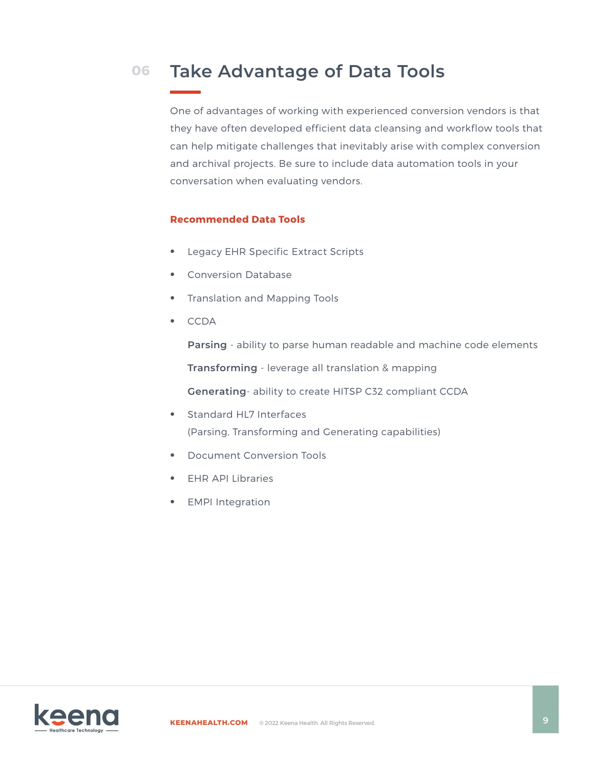#### **Take Advantage of Data Tools 06**

One of advantages of working with experienced conversion vendors is that they have often developed efficient data cleansing and workflow tools that can help mitigate challenges that inevitably arise with complex conversion and archival projects. Be sure to include data automation tools in your conversation when evaluating vendors.

#### **Recommended Data Tools**

- **•** Legacy EHR Specific Extract Scripts
- **•** Conversion Database
- **•** Translation and Mapping Tools
- **•** CCDA

**Parsing** - ability to parse human readable and machine code elements

**Transforming** - leverage all translation & mapping

**Generating**- ability to create HITSP C32 compliant CCDA

- **•** Standard HL7 Interfaces (Parsing, Transforming and Generating capabilities)
- **•** Document Conversion Tools
- **•** EHR API Libraries
- **•** EMPI Integration

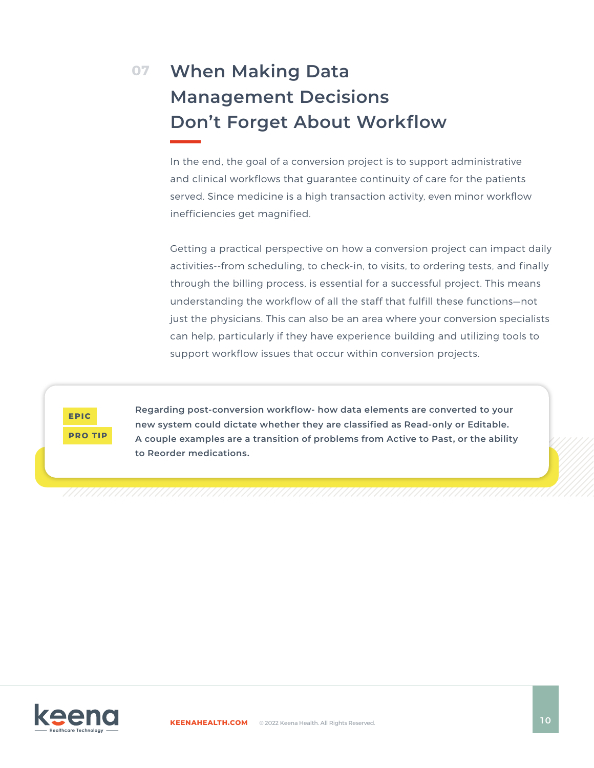### **When Making Data 07 Management Decisions Don't Forget About Workflow**

In the end, the goal of a conversion project is to support administrative and clinical workflows that guarantee continuity of care for the patients served. Since medicine is a high transaction activity, even minor workflow inefficiencies get magnified.

Getting a practical perspective on how a conversion project can impact daily activities--from scheduling, to check-in, to visits, to ordering tests, and finally through the billing process, is essential for a successful project. This means understanding the workflow of all the staff that fulfill these functions—not just the physicians. This can also be an area where your conversion specialists can help, particularly if they have experience building and utilizing tools to support workflow issues that occur within conversion projects.

**EPIC PRO TIP** **Regarding post-conversion workflow- how data elements are converted to your new system could dictate whether they are classified as Read-only or Editable. A couple examples are a transition of problems from Active to Past, or the ability to Reorder medications.**